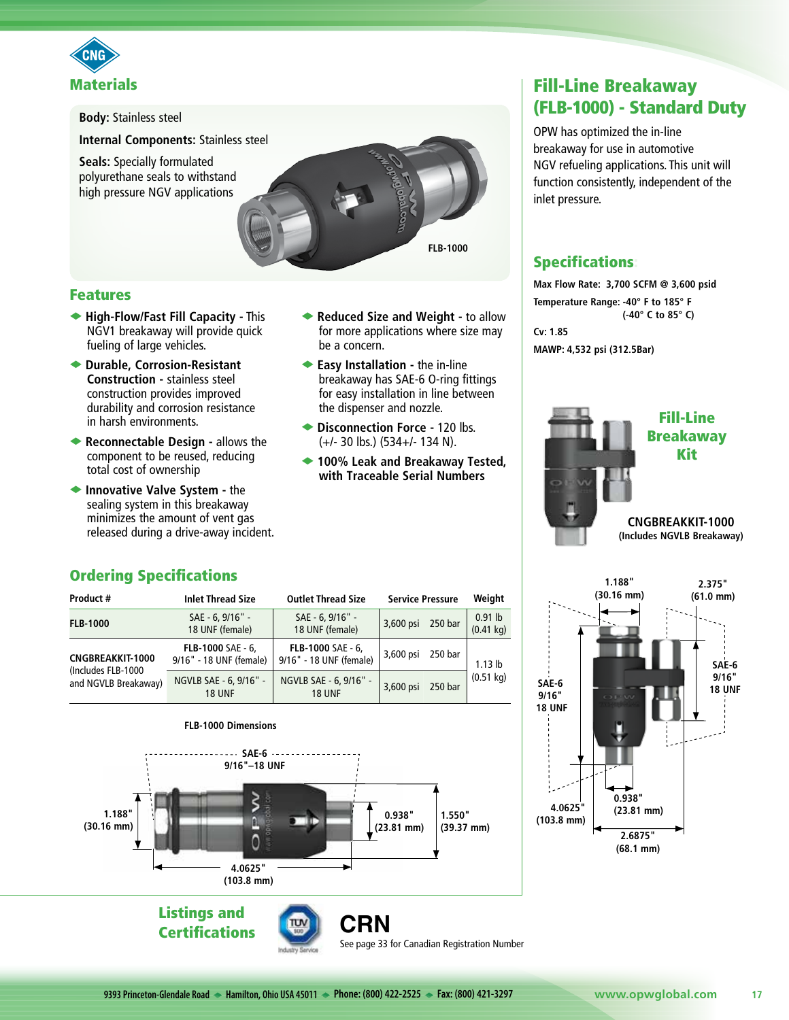



#### Features

- u **High-Flow/Fast Fill Capacity -** This NGV1 breakaway will provide quick fueling of large vehicles.
- ◆ Durable, Corrosion-Resistant **Construction -** stainless steel construction provides improved durability and corrosion resistance in harsh environments.
- **Execonnectable Design allows the** component to be reused, reducing total cost of ownership
- **Innovative Valve System the** sealing system in this breakaway minimizes the amount of vent gas released during a drive-away incident.
- ◆ Reduced Size and Weight to allow for more applications where size may be a concern.
- ◆ Easy Installation the in-line breakaway has SAE-6 O-ring fittings for easy installation in line between the dispenser and nozzle.
- ◆ Disconnection Force 120 lbs. (+/- 30 lbs.) (534+/- 134 N).
- ◆ 100% Leak and Breakaway Tested, **with Traceable Serial Numbers**

See page 33 for Canadian Registration Number

# Fill-Line Breakaway (FLB-1000) - Standard Duty

OPW has optimized the in-line breakaway for use in automotive NGV refueling applications. This unit will function consistently, independent of the inlet pressure.

## **Specifications:**

**Max Flow Rate: 3,700 SCFM @ 3,600 psid Temperature Range: -40° F to 185° F (-40° C to 85° C) Cv: 1.85 MAWP: 4,532 psi (312.5Bar)**





## Ordering Specifications

| Product #                                                             | <b>Inlet Thread Size</b>                     | <b>Outlet Thread Size</b>                    | <b>Service Pressure</b> |         | Weight                           |
|-----------------------------------------------------------------------|----------------------------------------------|----------------------------------------------|-------------------------|---------|----------------------------------|
| <b>FLB-1000</b>                                                       | SAE - 6, 9/16" -<br>18 UNF (female)          | SAE - 6, 9/16" -<br>18 UNF (female)          | 3,600 psi               | 250 bar | $0.91$ lb<br>$(0.41 \text{ kg})$ |
| <b>CNGBREAKKIT-1000</b><br>(Includes FLB-1000<br>and NGVLB Breakaway) | FLB-1000 SAE - 6,<br>9/16" - 18 UNF (female) | FLB-1000 SAE - 6,<br>9/16" - 18 UNF (female) | 3,600 psi               | 250 bar | $1.13$ lb<br>$(0.51 \text{ kg})$ |
|                                                                       | NGVLB SAE - 6, 9/16" -<br><b>18 UNF</b>      | NGVLB SAE - 6, 9/16" -<br><b>18 UNF</b>      | 3,600 psi               | 250 bar |                                  |



**9393 Princeton-Glendale Road Hamilton, Ohio USA 45011 Phone: (800) 422-2525 Fax: (800) 421-3297 www.opwglobal.com 17**